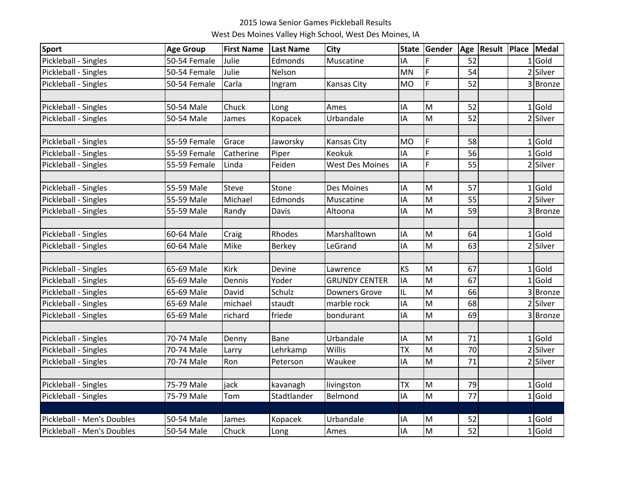## 2015 Iowa Senior Games Pickleball Results

West Des Moines Valley High School, West Des Moines, IA

| <b>Sport</b>               | <b>Age Group</b> | <b>First Name</b> | Last Name   | <b>City</b>            | <b>State</b> | Gender         | Age | <b>Result</b> | Place          | Medal    |
|----------------------------|------------------|-------------------|-------------|------------------------|--------------|----------------|-----|---------------|----------------|----------|
| Pickleball - Singles       | 50-54 Female     | Julie             | Edmonds     | Muscatine              | IA           | F              | 52  |               | 1              | Gold     |
| Pickleball - Singles       | 50-54 Female     | Julie             | Nelson      |                        | MN           | F              | 54  |               | $\overline{2}$ | Silver   |
| Pickleball - Singles       | 50-54 Female     | Carla             | Ingram      | Kansas City            | <b>MO</b>    | F              | 52  |               |                | 3 Bronze |
|                            |                  |                   |             |                        |              |                |     |               |                |          |
| Pickleball - Singles       | 50-54 Male       | Chuck             | Long        | Ames                   | IA           | M              | 52  |               |                | $1$ Gold |
| Pickleball - Singles       | 50-54 Male       | James             | Kopacek     | Urbandale              | IA           | M              | 52  |               | $\overline{2}$ | Silver   |
|                            |                  |                   |             |                        |              |                |     |               |                |          |
| Pickleball - Singles       | 55-59 Female     | Grace             | Jaworsky    | Kansas City            | <b>MO</b>    | F              | 58  |               |                | $1$ Gold |
| Pickleball - Singles       | 55-59 Female     | Catherine         | Piper       | Keokuk                 | IA           | F              | 56  |               | $\mathbf{1}$   | Gold     |
| Pickleball - Singles       | 55-59 Female     | Linda             | Feiden      | <b>West Des Moines</b> | IA           | F              | 55  |               |                | 2 Silver |
|                            |                  |                   |             |                        |              |                |     |               |                |          |
| Pickleball - Singles       | 55-59 Male       | <b>Steve</b>      | Stone       | Des Moines             | IA           | M              | 57  |               | $\mathbf{1}$   | Gold     |
| Pickleball - Singles       | 55-59 Male       | Michael           | Edmonds     | Muscatine              | IA           | M              | 55  |               |                | 2 Silver |
| Pickleball - Singles       | 55-59 Male       | Randy             | Davis       | Altoona                | IA           | M              | 59  |               |                | 3 Bronze |
|                            |                  |                   |             |                        |              |                |     |               |                |          |
| Pickleball - Singles       | 60-64 Male       | Craig             | Rhodes      | Marshalltown           | ΙA           | M              | 64  |               |                | $1$ Gold |
| Pickleball - Singles       | 60-64 Male       | Mike              | Berkey      | LeGrand                | IA           | M              | 63  |               | $\overline{2}$ | Silver   |
|                            |                  |                   |             |                        |              |                |     |               |                |          |
| Pickleball - Singles       | 65-69 Male       | Kirk              | Devine      | Lawrence               | KS           | M              | 67  |               | $\mathbf{1}$   | Gold     |
| Pickleball - Singles       | 65-69 Male       | Dennis            | Yoder       | <b>GRUNDY CENTER</b>   | IA           | M              | 67  |               | 1              | Gold     |
| Pickleball - Singles       | 65-69 Male       | David             | Schulz      | <b>Downers Grove</b>   | IL           | M              | 66  |               |                | 3 Bronze |
| Pickleball - Singles       | 65-69 Male       | michael           | staudt      | marble rock            | IA           | $\overline{M}$ | 68  |               |                | 2 Silver |
| Pickleball - Singles       | 65-69 Male       | richard           | friede      | bondurant              | IA           | M              | 69  |               |                | 3 Bronze |
|                            |                  |                   |             |                        |              |                |     |               |                |          |
| Pickleball - Singles       | 70-74 Male       | Denny             | Bane        | Urbandale              | IA           | M              | 71  |               |                | $1$ Gold |
| Pickleball - Singles       | 70-74 Male       | Larry             | Lehrkamp    | Willis                 | <b>TX</b>    | M              | 70  |               |                | 2 Silver |
| Pickleball - Singles       | 70-74 Male       | Ron               | Peterson    | Waukee                 | IA           | M              | 71  |               |                | 2 Silver |
|                            |                  |                   |             |                        |              |                |     |               |                |          |
| Pickleball - Singles       | 75-79 Male       | jack              | kavanagh    | livingston             | <b>TX</b>    | M              | 79  |               |                | $1$ Gold |
| Pickleball - Singles       | 75-79 Male       | Tom               | Stadtlander | Belmond                | IA           | M              | 77  |               |                | $1$ Gold |
|                            |                  |                   |             |                        |              |                |     |               |                |          |
| Pickleball - Men's Doubles | 50-54 Male       | James             | Kopacek     | Urbandale              | IA           | M              | 52  |               |                | $1$ Gold |
| Pickleball - Men's Doubles | 50-54 Male       | Chuck             | Long        | Ames                   | IA           | $\overline{M}$ | 52  |               |                | $1$ Gold |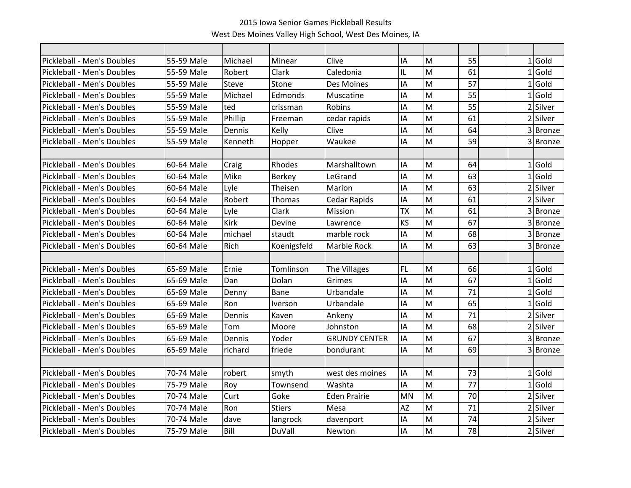| Pickleball - Men's Doubles        | 55-59 Male | Michael      | Minear         | Clive                | IA        | M | 55              |                | $1$ Gold |
|-----------------------------------|------------|--------------|----------------|----------------------|-----------|---|-----------------|----------------|----------|
| Pickleball - Men's Doubles        | 55-59 Male | Robert       | Clark          | Caledonia            | IL        | M | 61              |                | $1$ Gold |
| Pickleball - Men's Doubles        | 55-59 Male | <b>Steve</b> | Stone          | Des Moines           | IA        | M | 57              |                | 1 Gold   |
| Pickleball - Men's Doubles        | 55-59 Male | Michael      | Edmonds        | Muscatine            | IA        | M | 55              |                | $1$ Gold |
| Pickleball - Men's Doubles        | 55-59 Male | ted          | crissman       | Robins               | IA        | M | 55              | $\overline{2}$ | Silver   |
| Pickleball - Men's Doubles        | 55-59 Male | Phillip      | Freeman        | cedar rapids         | IA        | M | 61              |                | 2 Silver |
| Pickleball - Men's Doubles        | 55-59 Male | Dennis       | Kelly          | Clive                | IA        | M | 64              |                | 3 Bronze |
| Pickleball - Men's Doubles        | 55-59 Male | Kenneth      | Hopper         | Waukee               | IA        | M | 59              |                | 3Bronze  |
|                                   |            |              |                |                      |           |   |                 |                |          |
| Pickleball - Men's Doubles        | 60-64 Male | Craig        | Rhodes         | Marshalltown         | IA        | M | 64              |                | $1$ Gold |
| Pickleball - Men's Doubles        | 60-64 Male | Mike         | <b>Berkey</b>  | LeGrand              | IA        | M | 63              |                | $1$ Gold |
| Pickleball - Men's Doubles        | 60-64 Male | Lyle         | Theisen        | Marion               | IA        | M | 63              |                | 2 Silver |
| Pickleball - Men's Doubles        | 60-64 Male | Robert       | Thomas         | Cedar Rapids         | IA        | M | 61              |                | 2 Silver |
| Pickleball - Men's Doubles        | 60-64 Male | Lyle         | Clark          | Mission              | <b>TX</b> | M | 61              |                | 3 Bronze |
| Pickleball - Men's Doubles        | 60-64 Male | <b>Kirk</b>  | Devine         | Lawrence             | KS        | M | 67              |                | 3 Bronze |
| Pickleball - Men's Doubles        | 60-64 Male | michael      | staudt         | marble rock          | ΙA        | M | 68              |                | 3 Bronze |
| Pickleball - Men's Doubles        | 60-64 Male | Rich         | Koenigsfeld    | Marble Rock          | IA        | M | 63              |                | 3 Bronze |
|                                   |            |              |                |                      |           |   |                 |                |          |
| Pickleball - Men's Doubles        | 65-69 Male | Ernie        | Tomlinson      | The Villages         | <b>FL</b> | M | 66              |                | $1$ Gold |
| Pickleball - Men's Doubles        | 65-69 Male | Dan          | Dolan          | Grimes               | IA        | M | 67              |                | $1$ Gold |
| Pickleball - Men's Doubles        | 65-69 Male | Denny        | Bane           | Urbandale            | IA        | M | 71              |                | 1 Gold   |
| Pickleball - Men's Doubles        | 65-69 Male | Ron          | <b>Iverson</b> | Urbandale            | ΙA        | M | 65              |                | $1$ Gold |
| <b>Pickleball - Men's Doubles</b> | 65-69 Male | Dennis       | Kaven          | Ankeny               | IA        | M | 71              |                | 2 Silver |
| Pickleball - Men's Doubles        | 65-69 Male | Tom          | Moore          | Johnston             | IA        | M | 68              |                | 2 Silver |
| Pickleball - Men's Doubles        | 65-69 Male | Dennis       | Yoder          | <b>GRUNDY CENTER</b> | IA        | M | 67              |                | 3Bronze  |
| Pickleball - Men's Doubles        | 65-69 Male | richard      | friede         | bondurant            | IA        | M | 69              |                | 3 Bronze |
|                                   |            |              |                |                      |           |   |                 |                |          |
| Pickleball - Men's Doubles        | 70-74 Male | robert       | smyth          | west des moines      | IA        | M | 73              |                | $1$ Gold |
| <b>Pickleball - Men's Doubles</b> | 75-79 Male | Roy          | Townsend       | Washta               | IA        | M | $\overline{77}$ | $\mathbf{1}$   | lGold    |
| Pickleball - Men's Doubles        | 70-74 Male | Curt         | Goke           | <b>Eden Prairie</b>  | <b>MN</b> | M | 70              |                | 2 Silver |
| Pickleball - Men's Doubles        | 70-74 Male | Ron          | <b>Stiers</b>  | Mesa                 | <b>AZ</b> | M | 71              |                | 2 Silver |
| Pickleball - Men's Doubles        | 70-74 Male | dave         | langrock       | davenport            | IA        | M | 74              |                | 2 Silver |
| Pickleball - Men's Doubles        | 75-79 Male | Bill         | DuVall         | Newton               | IA        | M | 78              |                | 2 Silver |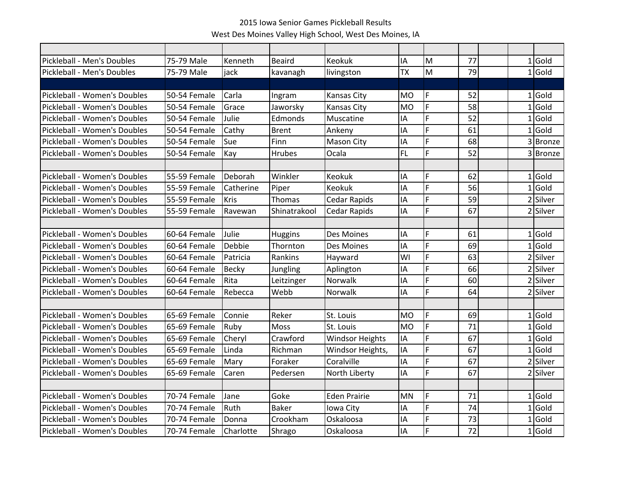| Pickleball - Men's Doubles   | 75-79 Male   | Kenneth      | <b>Beaird</b>  | Keokuk                 | IA        | M  | 77 |              | $1$ Gold    |
|------------------------------|--------------|--------------|----------------|------------------------|-----------|----|----|--------------|-------------|
| Pickleball - Men's Doubles   | 75-79 Male   | jack         | kavanagh       | livingston             | <b>TX</b> | M  | 79 |              | $1$ Gold    |
|                              |              |              |                |                        |           |    |    |              |             |
| Pickleball - Women's Doubles | 50-54 Female | Carla        | Ingram         | Kansas City            | MO        | F  | 52 |              | $1$ Gold    |
| Pickleball - Women's Doubles | 50-54 Female | Grace        | Jaworsky       | <b>Kansas City</b>     | MO        | F. | 58 | $\mathbf{1}$ | <b>Gold</b> |
| Pickleball - Women's Doubles | 50-54 Female | Julie        | Edmonds        | Muscatine              | IA        | F  | 52 |              | $1$ Gold    |
| Pickleball - Women's Doubles | 50-54 Female | Cathy        | <b>Brent</b>   | Ankeny                 | IA        | F  | 61 |              | $1$ Gold    |
| Pickleball - Women's Doubles | 50-54 Female | Sue          | Finn           | Mason City             | IA        | F. | 68 |              | 3 Bronze    |
| Pickleball - Women's Doubles | 50-54 Female | Kay          | <b>Hrubes</b>  | Ocala                  | <b>FL</b> | F. | 52 |              | 3 Bronze    |
|                              |              |              |                |                        |           |    |    |              |             |
| Pickleball - Women's Doubles | 55-59 Female | Deborah      | Winkler        | <b>Keokuk</b>          | IA        | F. | 62 |              | $1$ Gold    |
| Pickleball - Women's Doubles | 55-59 Female | Catherine    | Piper          | <b>Keokuk</b>          | IA        | F  | 56 |              | $1$ Gold    |
| Pickleball - Women's Doubles | 55-59 Female | <b>Kris</b>  | <b>Thomas</b>  | <b>Cedar Rapids</b>    | IA        | F  | 59 |              | 2 Silver    |
| Pickleball - Women's Doubles | 55-59 Female | Ravewan      | Shinatrakool   | <b>Cedar Rapids</b>    | IA        | F. | 67 |              | 2 Silver    |
|                              |              |              |                |                        |           |    |    |              |             |
| Pickleball - Women's Doubles | 60-64 Female | Julie        | <b>Huggins</b> | Des Moines             | IA        | F  | 61 |              | $1$ Gold    |
| Pickleball - Women's Doubles | 60-64 Female | Debbie       | Thornton       | Des Moines             | IA        | F  | 69 |              | $1$ Gold    |
| Pickleball - Women's Doubles | 60-64 Female | Patricia     | Rankins        | Hayward                | WI        | F  | 63 |              | 2 Silver    |
| Pickleball - Women's Doubles | 60-64 Female | <b>Becky</b> | Jungling       | Aplington              | IA        | F. | 66 |              | 2 Silver    |
| Pickleball - Women's Doubles | 60-64 Female | Rita         | Leitzinger     | Norwalk                | IA        | F  | 60 |              | 2 Silver    |
| Pickleball - Women's Doubles | 60-64 Female | Rebecca      | Webb           | Norwalk                | IA        | F. | 64 |              | 2 Silver    |
|                              |              |              |                |                        |           |    |    |              |             |
| Pickleball - Women's Doubles | 65-69 Female | Connie       | Reker          | St. Louis              | <b>MO</b> | F. | 69 |              | $1$ Gold    |
| Pickleball - Women's Doubles | 65-69 Female | Ruby         | <b>Moss</b>    | St. Louis              | <b>MO</b> | F. | 71 |              | $1$ Gold    |
| Pickleball - Women's Doubles | 65-69 Female | Cheryl       | Crawford       | <b>Windsor Heights</b> | IA        | F  | 67 |              | $1$ Gold    |
| Pickleball - Women's Doubles | 65-69 Female | Linda        | Richman        | Windsor Heights,       | IA        | F. | 67 |              | $1$ Gold    |
| Pickleball - Women's Doubles | 65-69 Female | Mary         | Foraker        | Coralville             | IA        | F. | 67 |              | 2 Silver    |
| Pickleball - Women's Doubles | 65-69 Female | Caren        | Pedersen       | North Liberty          | IA        | F  | 67 |              | 2 Silver    |
|                              |              |              |                |                        |           |    |    |              |             |
| Pickleball - Women's Doubles | 70-74 Female | Jane         | Goke           | <b>Eden Prairie</b>    | <b>MN</b> | F. | 71 |              | $1$ Gold    |
| Pickleball - Women's Doubles | 70-74 Female | Ruth         | <b>Baker</b>   | Iowa City              | IA        | F  | 74 |              | $1$ Gold    |
| Pickleball - Women's Doubles | 70-74 Female | Donna        | Crookham       | Oskaloosa              | IA        | F  | 73 | $\mathbf{1}$ | Gold        |
| Pickleball - Women's Doubles | 70-74 Female | Charlotte    | Shrago         | Oskaloosa              | IA        | F. | 72 |              | $1$ Gold    |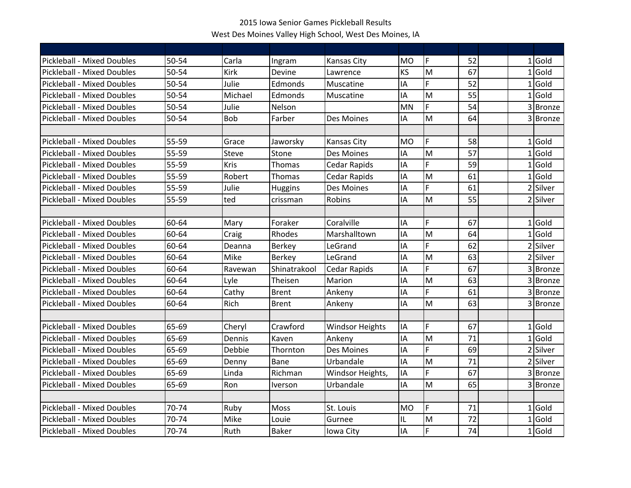| <b>Pickleball - Mixed Doubles</b> | $50 - 54$ | Carla        | Ingram                       | Kansas City            | <b>MO</b> | F  | 52 |                | $1$ Gold |
|-----------------------------------|-----------|--------------|------------------------------|------------------------|-----------|----|----|----------------|----------|
| <b>Pickleball - Mixed Doubles</b> | $50 - 54$ | <b>Kirk</b>  | Devine                       | Lawrence               | KS        | M  | 67 |                | $1$ Gold |
| <b>Pickleball - Mixed Doubles</b> | 50-54     | Julie        | Edmonds                      | Muscatine              | IA        | F. | 52 |                | $1$ Gold |
| <b>Pickleball - Mixed Doubles</b> | 50-54     | Michael      | Edmonds                      | Muscatine              | IA        | M  | 55 |                | $1$ Gold |
| <b>Pickleball - Mixed Doubles</b> | 50-54     | Julie        | Nelson                       |                        | <b>MN</b> | F  | 54 |                | 3 Bronze |
| <b>Pickleball - Mixed Doubles</b> | 50-54     | <b>Bob</b>   | Farber                       | Des Moines             | IA        | M  | 64 |                | 3Bronze  |
|                                   |           |              |                              |                        |           |    |    |                |          |
| <b>Pickleball - Mixed Doubles</b> | 55-59     | Grace        | Jaworsky                     | Kansas City            | <b>MO</b> | F  | 58 |                | $1$ Gold |
| <b>Pickleball - Mixed Doubles</b> | 55-59     | <b>Steve</b> | Stone                        | Des Moines             | IA        | M  | 57 |                | $1$ Gold |
| <b>Pickleball - Mixed Doubles</b> | 55-59     | Kris         | Thomas                       | Cedar Rapids           | IA        | F  | 59 |                | $1$ Gold |
| <b>Pickleball - Mixed Doubles</b> | 55-59     | Robert       | Thomas                       | <b>Cedar Rapids</b>    | IA        | M  | 61 |                | $1$ Gold |
| <b>Pickleball - Mixed Doubles</b> | 55-59     | Julie        | <b>Huggins</b>               | Des Moines             | IA        | F. | 61 |                | 2 Silver |
| Pickleball - Mixed Doubles        | 55-59     | ted          | crissman                     | Robins                 | IA        | M  | 55 |                | 2 Silver |
|                                   |           |              |                              |                        |           |    |    |                |          |
| <b>Pickleball - Mixed Doubles</b> | 60-64     | Mary         | Foraker                      | Coralville             | IA        | F  | 67 |                | 1 Gold   |
| <b>Pickleball - Mixed Doubles</b> | 60-64     | Craig        | Rhodes                       | Marshalltown           | IA        | M  | 64 | 1              | Gold     |
| <b>Pickleball - Mixed Doubles</b> | 60-64     | Deanna       | <b>Berkey</b>                | LeGrand                | IA        | F. | 62 |                | 2 Silver |
| <b>Pickleball - Mixed Doubles</b> | 60-64     | Mike         | <b>Berkey</b>                | LeGrand                | IA        | M  | 63 |                | 2 Silver |
| <b>Pickleball - Mixed Doubles</b> | 60-64     | Ravewan      | Shinatrakool                 | <b>Cedar Rapids</b>    | IA        | F  | 67 |                | 3 Bronze |
| <b>Pickleball - Mixed Doubles</b> | 60-64     | Lyle         | Theisen                      | Marion                 | IA        | M  | 63 |                | 3 Bronze |
| <b>Pickleball - Mixed Doubles</b> | 60-64     | Cathy        | <b>Brent</b>                 | Ankeny                 | IA        | F. | 61 |                | 3 Bronze |
| <b>Pickleball - Mixed Doubles</b> | 60-64     | Rich         | <b>Brent</b>                 | Ankeny                 | IA        | M  | 63 |                | 3Bronze  |
|                                   |           |              |                              |                        |           |    |    |                |          |
| <b>Pickleball - Mixed Doubles</b> | 65-69     | Cheryl       | Crawford                     | <b>Windsor Heights</b> | IA        | F  | 67 |                | $1$ Gold |
| <b>Pickleball - Mixed Doubles</b> | 65-69     | Dennis       | Kaven                        | Ankeny                 | IA        | M  | 71 |                | $1$ Gold |
| <b>Pickleball - Mixed Doubles</b> | 65-69     | Debbie       | Thornton                     | Des Moines             | IA        | F. | 69 | $\overline{2}$ | Silver   |
| <b>Pickleball - Mixed Doubles</b> | 65-69     | Denny        | Bane                         | Urbandale              | IA        | M  | 71 |                | 2 Silver |
| <b>Pickleball - Mixed Doubles</b> | 65-69     | Linda        | Richman                      | Windsor Heights,       | IA        | F. | 67 |                | 3 Bronze |
| <b>Pickleball - Mixed Doubles</b> | 65-69     | Ron          | <i><u><b>Iverson</b></u></i> | Urbandale              | IA        | M  | 65 |                | 3 Bronze |
|                                   |           |              |                              |                        |           |    |    |                |          |
| <b>Pickleball - Mixed Doubles</b> | 70-74     | Ruby         | Moss                         | St. Louis              | <b>MO</b> | F  | 71 |                | $1$ Gold |
| <b>Pickleball - Mixed Doubles</b> | 70-74     | Mike         | Louie                        | Gurnee                 | IL        | M  | 72 |                | $1$ Gold |
| <b>Pickleball - Mixed Doubles</b> | 70-74     | Ruth         | <b>Baker</b>                 | Iowa City              | IA        | F. | 74 |                | $1$ Gold |